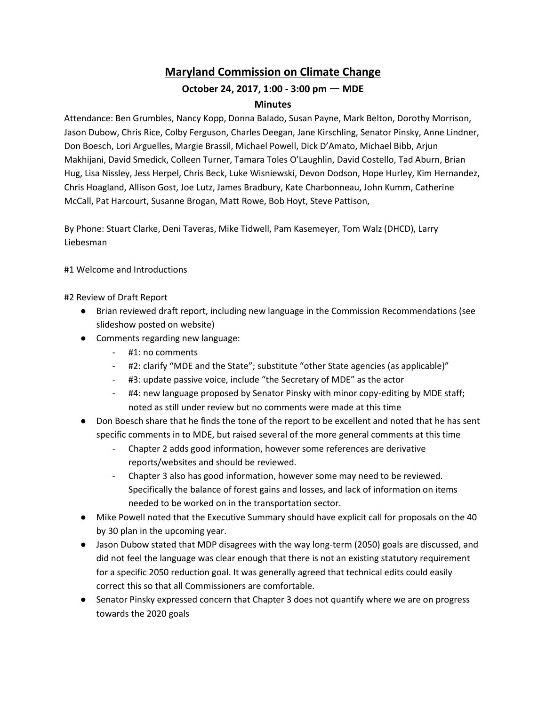## **Maryland Commission on Climate Change**

## **October 24, 2017, 1:00 - 3:00 pm** ㅡ **MDE**

## **Minutes**

Attendance: Ben Grumbles, Nancy Kopp, Donna Balado, Susan Payne, Mark Belton, Dorothy Morrison, Jason Dubow, Chris Rice, Colby Ferguson, Charles Deegan, Jane Kirschling, Senator Pinsky, Anne Lindner, Don Boesch, Lori Arguelles, Margie Brassil, Michael Powell, Dick D'Amato, Michael Bibb, Arjun Makhijani, David Smedick, Colleen Turner, Tamara Toles O'Laughlin, David Costello, Tad Aburn, Brian Hug, Lisa Nissley, Jess Herpel, Chris Beck, Luke Wisniewski, Devon Dodson, Hope Hurley, Kim Hernandez, Chris Hoagland, Allison Gost, Joe Lutz, James Bradbury, Kate Charbonneau, John Kumm, Catherine McCall, Pat Harcourt, Susanne Brogan, Matt Rowe, Bob Hoyt, Steve Pattison,

By Phone: Stuart Clarke, Deni Taveras, Mike Tidwell, Pam Kasemeyer, Tom Walz (DHCD), Larry Liebesman

#1 Welcome and Introductions

#2 Review of Draft Report

- Brian reviewed draft report, including new language in the Commission Recommendations (see slideshow posted on website)
- Comments regarding new language:
	- #1: no comments
	- #2: clarify "MDE and the State"; substitute "other State agencies (as applicable)"
	- #3: update passive voice, include "the Secretary of MDE" as the actor
	- #4: new language proposed by Senator Pinsky with minor copy-editing by MDE staff; noted as still under review but no comments were made at this time
- Don Boesch share that he finds the tone of the report to be excellent and noted that he has sent specific comments in to MDE, but raised several of the more general comments at this time
	- Chapter 2 adds good information, however some references are derivative reports/websites and should be reviewed.
	- Chapter 3 also has good information, however some may need to be reviewed. Specifically the balance of forest gains and losses, and lack of information on items needed to be worked on in the transportation sector.
- Mike Powell noted that the Executive Summary should have explicit call for proposals on the 40 by 30 plan in the upcoming year.
- Jason Dubow stated that MDP disagrees with the way long-term (2050) goals are discussed, and did not feel the language was clear enough that there is not an existing statutory requirement for a specific 2050 reduction goal. It was generally agreed that technical edits could easily correct this so that all Commissioners are comfortable.
- Senator Pinsky expressed concern that Chapter 3 does not quantify where we are on progress towards the 2020 goals